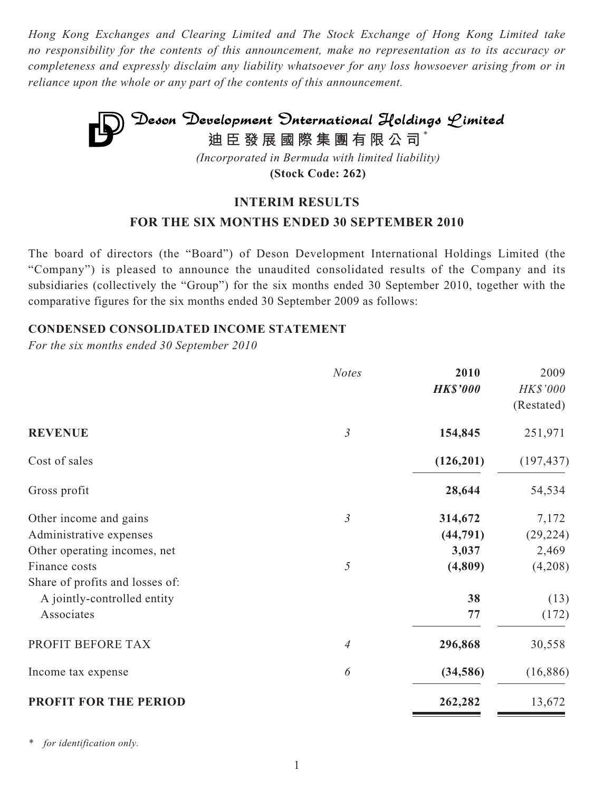*Hong Kong Exchanges and Clearing Limited and The Stock Exchange of Hong Kong Limited take no responsibility for the contents of this announcement, make no representation as to its accuracy or completeness and expressly disclaim any liability whatsoever for any loss howsoever arising from or in reliance upon the whole or any part of the contents of this announcement.*

## Deson Development Onternational Holdings Limited **迪臣發展國際集團有限公司** \* *(Incorporated in Bermuda with limited liability)*

**(Stock Code: 262)**

## **INTERIM RESULTS**

## **FOR THE SIX MONTHS ENDED 30 SEPTEMBER 2010**

The board of directors (the "Board") of Deson Development International Holdings Limited (the "Company") is pleased to announce the unaudited consolidated results of the Company and its subsidiaries (collectively the "Group") for the six months ended 30 September 2010, together with the comparative figures for the six months ended 30 September 2009 as follows:

## **CONDENSED CONSOLIDATED INCOME STATEMENT**

*For the six months ended 30 September 2010*

|                                 | <b>Notes</b>   | 2010<br><b>HK\$'000</b> | 2009<br><b>HK\$'000</b><br>(Restated) |
|---------------------------------|----------------|-------------------------|---------------------------------------|
| <b>REVENUE</b>                  | $\mathfrak{Z}$ | 154,845                 | 251,971                               |
| Cost of sales                   |                | (126,201)               | (197, 437)                            |
| Gross profit                    |                | 28,644                  | 54,534                                |
| Other income and gains          | $\mathfrak{Z}$ | 314,672                 | 7,172                                 |
| Administrative expenses         |                | (44, 791)               | (29, 224)                             |
| Other operating incomes, net    |                | 3,037                   | 2,469                                 |
| Finance costs                   | 5              | (4,809)                 | (4,208)                               |
| Share of profits and losses of: |                |                         |                                       |
| A jointly-controlled entity     |                | 38                      | (13)                                  |
| Associates                      |                | 77                      | (172)                                 |
| PROFIT BEFORE TAX               | 4              | 296,868                 | 30,558                                |
| Income tax expense              | 6              | (34, 586)               | (16,886)                              |
| <b>PROFIT FOR THE PERIOD</b>    |                | 262,282                 | 13,672                                |

*for identification only.*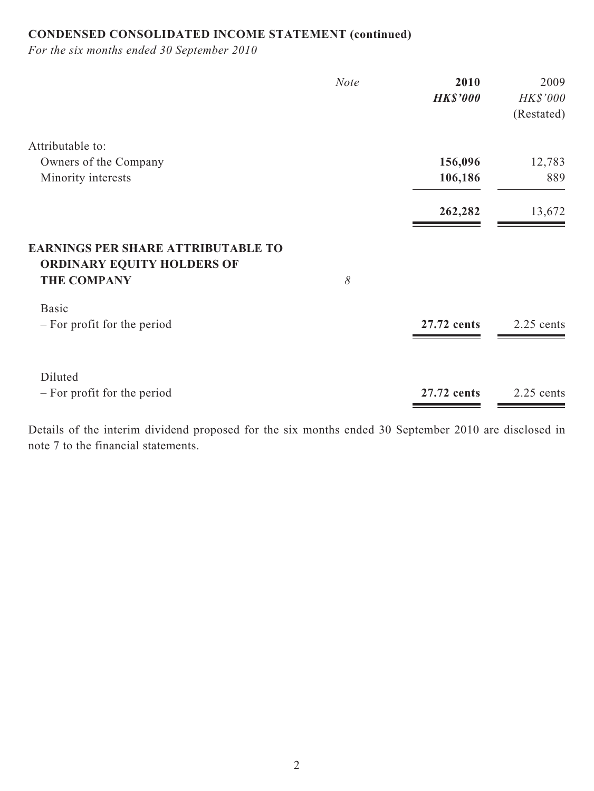## **CONDENSED CONSOLIDATED INCOME STATEMENT (continued)**

*For the six months ended 30 September 2010*

|                                                                                | <b>Note</b> | 2010            | 2009       |
|--------------------------------------------------------------------------------|-------------|-----------------|------------|
|                                                                                |             | <b>HK\$'000</b> | HK\$'000   |
|                                                                                |             |                 | (Restated) |
| Attributable to:                                                               |             |                 |            |
| Owners of the Company                                                          |             | 156,096         | 12,783     |
| Minority interests                                                             |             | 106,186         | 889        |
|                                                                                |             | 262,282         | 13,672     |
| <b>EARNINGS PER SHARE ATTRIBUTABLE TO</b><br><b>ORDINARY EQUITY HOLDERS OF</b> |             |                 |            |
| <b>THE COMPANY</b>                                                             | 8           |                 |            |
| <b>Basic</b>                                                                   |             |                 |            |
| $-$ For profit for the period                                                  |             | 27.72 cents     | 2.25 cents |
|                                                                                |             |                 |            |
| Diluted                                                                        |             |                 |            |
| - For profit for the period                                                    |             | 27.72 cents     | 2.25 cents |

Details of the interim dividend proposed for the six months ended 30 September 2010 are disclosed in note 7 to the financial statements.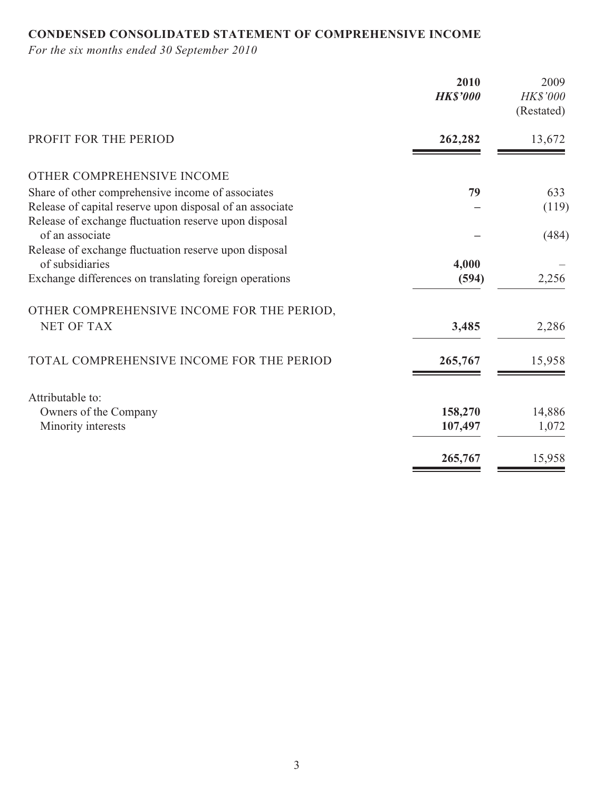## **CONDENSED CONSOLIDATED STATEMENT OF COMPREHENSIVE INCOME**

*For the six months ended 30 September 2010*

|                                                          | 2010<br><b>HK\$'000</b> | 2009<br>HK\$'000<br>(Restated) |
|----------------------------------------------------------|-------------------------|--------------------------------|
| PROFIT FOR THE PERIOD                                    | 262,282                 | 13,672                         |
| OTHER COMPREHENSIVE INCOME                               |                         |                                |
| Share of other comprehensive income of associates        | 79                      | 633                            |
| Release of capital reserve upon disposal of an associate |                         | (119)                          |
| Release of exchange fluctuation reserve upon disposal    |                         |                                |
| of an associate                                          |                         | (484)                          |
| Release of exchange fluctuation reserve upon disposal    |                         |                                |
| of subsidiaries                                          | 4,000                   |                                |
| Exchange differences on translating foreign operations   | (594)                   | 2,256                          |
| OTHER COMPREHENSIVE INCOME FOR THE PERIOD,               |                         |                                |
| <b>NET OF TAX</b>                                        | 3,485                   | 2,286                          |
|                                                          |                         |                                |
| TOTAL COMPREHENSIVE INCOME FOR THE PERIOD                | 265,767                 | 15,958                         |
|                                                          |                         |                                |
| Attributable to:                                         |                         |                                |
| Owners of the Company                                    | 158,270                 | 14,886                         |
| Minority interests                                       | 107,497                 | 1,072                          |
|                                                          |                         |                                |
|                                                          | 265,767                 | 15,958                         |
|                                                          |                         |                                |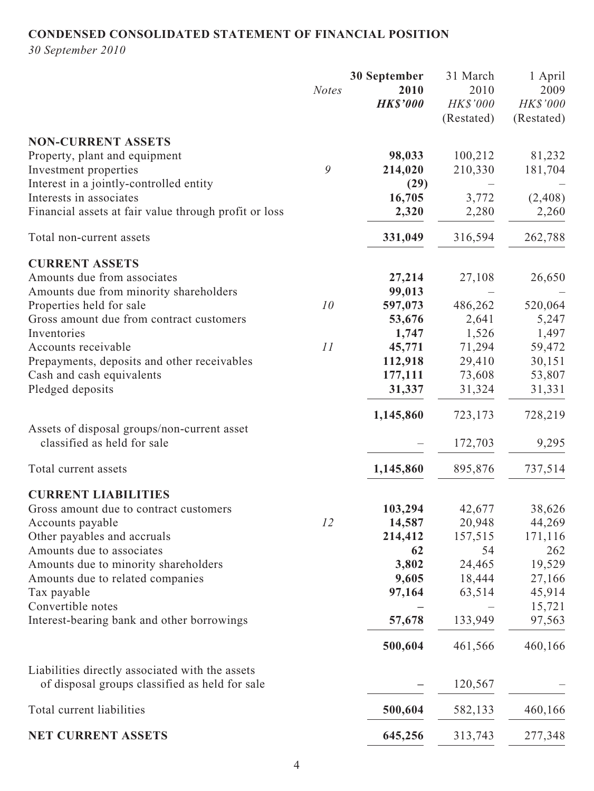## **CONDENSED CONSOLIDATED STATEMENT OF FINANCIAL POSITION**

*30 September 2010*

|                                                       |              | 30 September    | 31 March        | 1 April    |
|-------------------------------------------------------|--------------|-----------------|-----------------|------------|
|                                                       | <b>Notes</b> | 2010            | 2010            | 2009       |
|                                                       |              | <b>HK\$'000</b> | <b>HK\$'000</b> | HK\$'000   |
|                                                       |              |                 | (Restated)      | (Restated) |
| <b>NON-CURRENT ASSETS</b>                             |              |                 |                 |            |
| Property, plant and equipment                         |              | 98,033          | 100,212         | 81,232     |
| Investment properties                                 | 9            | 214,020         | 210,330         | 181,704    |
| Interest in a jointly-controlled entity               |              | (29)            |                 |            |
| Interests in associates                               |              | 16,705          | 3,772           | (2, 408)   |
| Financial assets at fair value through profit or loss |              |                 |                 |            |
|                                                       |              | 2,320           | 2,280           | 2,260      |
| Total non-current assets                              |              | 331,049         | 316,594         | 262,788    |
| <b>CURRENT ASSETS</b>                                 |              |                 |                 |            |
| Amounts due from associates                           |              | 27,214          | 27,108          | 26,650     |
| Amounts due from minority shareholders                |              | 99,013          |                 |            |
| Properties held for sale                              | 10           | 597,073         | 486,262         | 520,064    |
| Gross amount due from contract customers              |              | 53,676          | 2,641           | 5,247      |
| Inventories                                           |              | 1,747           | 1,526           | 1,497      |
| Accounts receivable                                   | 11           | 45,771          | 71,294          | 59,472     |
| Prepayments, deposits and other receivables           |              | 112,918         | 29,410          | 30,151     |
| Cash and cash equivalents                             |              | 177,111         | 73,608          | 53,807     |
| Pledged deposits                                      |              | 31,337          | 31,324          | 31,331     |
|                                                       |              | 1,145,860       | 723,173         | 728,219    |
| Assets of disposal groups/non-current asset           |              |                 |                 |            |
| classified as held for sale                           |              |                 | 172,703         | 9,295      |
| Total current assets                                  |              | 1,145,860       | 895,876         | 737,514    |
| <b>CURRENT LIABILITIES</b>                            |              |                 |                 |            |
| Gross amount due to contract customers                |              | 103,294         | 42,677          | 38,626     |
| Accounts payable                                      | 12           | 14,587          | 20,948          | 44,269     |
| Other payables and accruals                           |              | 214,412         | 157,515         | 171,116    |
| Amounts due to associates                             |              | 62              | 54              | 262        |
| Amounts due to minority shareholders                  |              | 3,802           | 24,465          | 19,529     |
| Amounts due to related companies                      |              | 9,605           | 18,444          | 27,166     |
| Tax payable                                           |              | 97,164          | 63,514          | 45,914     |
| Convertible notes                                     |              |                 |                 | 15,721     |
| Interest-bearing bank and other borrowings            |              | 57,678          | 133,949         | 97,563     |
|                                                       |              | 500,604         | 461,566         | 460,166    |
| Liabilities directly associated with the assets       |              |                 |                 |            |
| of disposal groups classified as held for sale        |              |                 | 120,567         |            |
| Total current liabilities                             |              | 500,604         | 582,133         | 460,166    |
| NET CURRENT ASSETS                                    |              | 645,256         | 313,743         | 277,348    |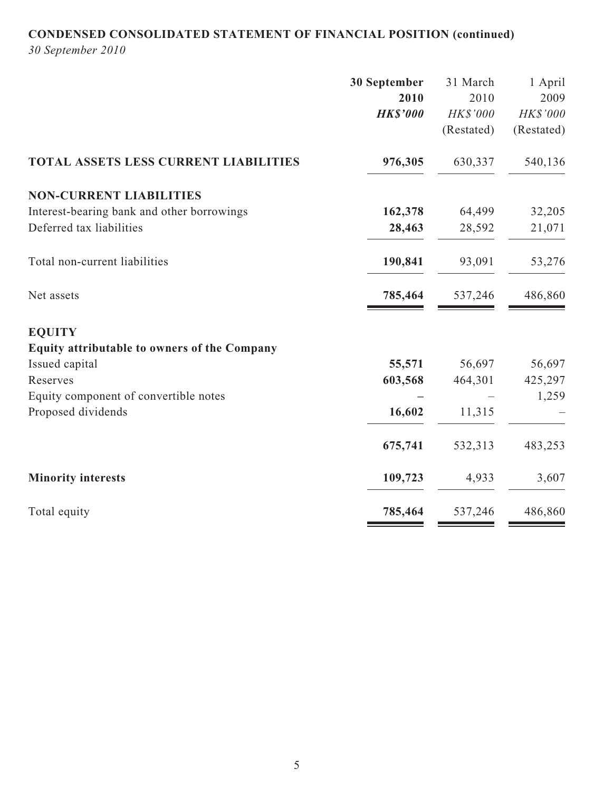# **CONDENSED CONSOLIDATED STATEMENT OF FINANCIAL POSITION (continued)**

*30 September 2010*

| 30 September    | 31 March   | 1 April    |
|-----------------|------------|------------|
| 2010            | 2010       | 2009       |
| <b>HK\$'000</b> | HK\$'000   | HK\$'000   |
|                 | (Restated) | (Restated) |
| 976,305         | 630,337    | 540,136    |
|                 |            |            |
| 162,378         | 64,499     | 32,205     |
| 28,463          | 28,592     | 21,071     |
| 190,841         | 93,091     | 53,276     |
| 785,464         | 537,246    | 486,860    |
|                 |            |            |
|                 |            |            |
| 55,571          | 56,697     | 56,697     |
| 603,568         | 464,301    | 425,297    |
|                 |            | 1,259      |
| 16,602          | 11,315     |            |
| 675,741         | 532,313    | 483,253    |
| 109,723         | 4,933      | 3,607      |
| 785,464         | 537,246    | 486,860    |
|                 |            |            |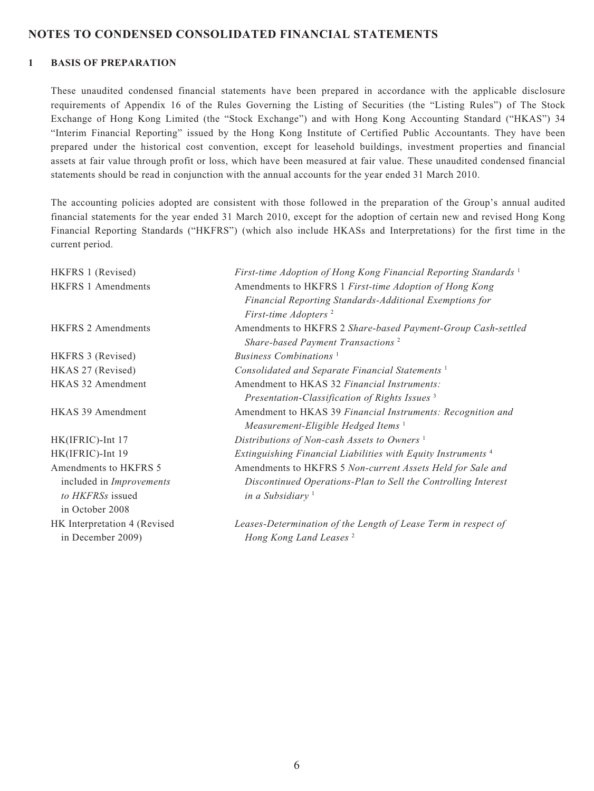#### **NOTES TO CONDENSED CONSOLIDATED FINANCIAL STATEMENTS**

#### **1 BASIS OF PREPARATION**

These unaudited condensed financial statements have been prepared in accordance with the applicable disclosure requirements of Appendix 16 of the Rules Governing the Listing of Securities (the "Listing Rules") of The Stock Exchange of Hong Kong Limited (the "Stock Exchange") and with Hong Kong Accounting Standard ("HKAS") 34 "Interim Financial Reporting" issued by the Hong Kong Institute of Certified Public Accountants. They have been prepared under the historical cost convention, except for leasehold buildings, investment properties and financial assets at fair value through profit or loss, which have been measured at fair value. These unaudited condensed financial statements should be read in conjunction with the annual accounts for the year ended 31 March 2010.

The accounting policies adopted are consistent with those followed in the preparation of the Group's annual audited financial statements for the year ended 31 March 2010, except for the adoption of certain new and revised Hong Kong Financial Reporting Standards ("HKFRS") (which also include HKASs and Interpretations) for the first time in the current period.

| HKFRS 1 (Revised)               | First-time Adoption of Hong Kong Financial Reporting Standards <sup>1</sup> |
|---------------------------------|-----------------------------------------------------------------------------|
| <b>HKFRS 1 Amendments</b>       | Amendments to HKFRS 1 First-time Adoption of Hong Kong                      |
|                                 | Financial Reporting Standards-Additional Exemptions for                     |
|                                 | First-time Adopters <sup>2</sup>                                            |
| <b>HKFRS 2 Amendments</b>       | Amendments to HKFRS 2 Share-based Payment-Group Cash-settled                |
|                                 | Share-based Payment Transactions <sup>2</sup>                               |
| HKFRS 3 (Revised)               | Business Combinations <sup>1</sup>                                          |
| HKAS 27 (Revised)               | Consolidated and Separate Financial Statements <sup>1</sup>                 |
| HKAS 32 Amendment               | Amendment to HKAS 32 Financial Instruments:                                 |
|                                 | Presentation-Classification of Rights Issues <sup>3</sup>                   |
| <b>HKAS 39 Amendment</b>        | Amendment to HKAS 39 Financial Instruments: Recognition and                 |
|                                 | Measurement-Eligible Hedged Items <sup>1</sup>                              |
| HK(IFRIC)-Int 17                | Distributions of Non-cash Assets to Owners <sup>1</sup>                     |
| HK(IFRIC)-Int 19                | Extinguishing Financial Liabilities with Equity Instruments <sup>4</sup>    |
| Amendments to HKFRS 5           | Amendments to HKFRS 5 Non-current Assets Held for Sale and                  |
| included in <i>Improvements</i> | Discontinued Operations-Plan to Sell the Controlling Interest               |
| to HKFRSs issued                | in a Subsidiary <sup>1</sup>                                                |
| in October 2008                 |                                                                             |
| HK Interpretation 4 (Revised    | Leases-Determination of the Length of Lease Term in respect of              |
| in December 2009)               | Hong Kong Land Leases <sup>2</sup>                                          |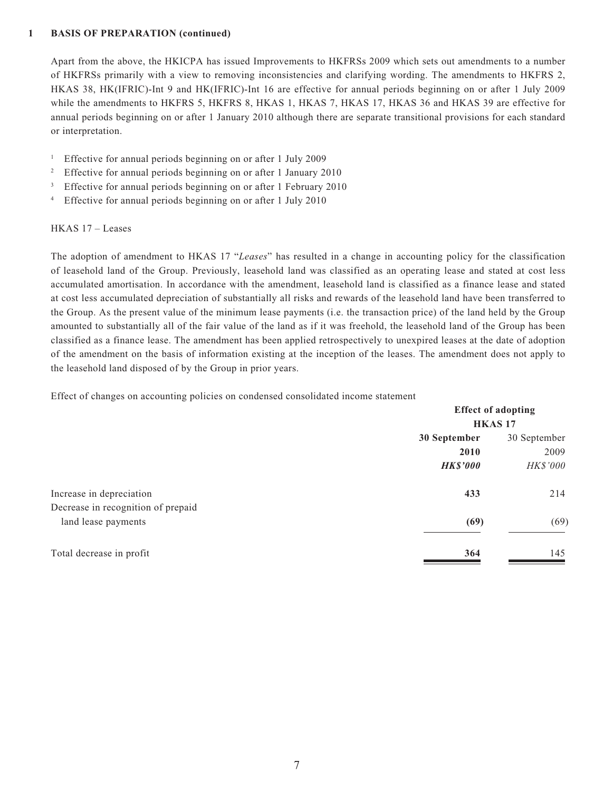#### **1 BASIS OF PREPARATION (continued)**

Apart from the above, the HKICPA has issued Improvements to HKFRSs 2009 which sets out amendments to a number of HKFRSs primarily with a view to removing inconsistencies and clarifying wording. The amendments to HKFRS 2, HKAS 38, HK(IFRIC)-Int 9 and HK(IFRIC)-Int 16 are effective for annual periods beginning on or after 1 July 2009 while the amendments to HKFRS 5, HKFRS 8, HKAS 1, HKAS 7, HKAS 17, HKAS 36 and HKAS 39 are effective for annual periods beginning on or after 1 January 2010 although there are separate transitional provisions for each standard or interpretation.

- <sup>1</sup> Effective for annual periods beginning on or after 1 July 2009
- <sup>2</sup> Effective for annual periods beginning on or after 1 January 2010
- <sup>3</sup> Effective for annual periods beginning on or after 1 February 2010
- 4 Effective for annual periods beginning on or after 1 July 2010

#### HKAS 17 – Leases

The adoption of amendment to HKAS 17 "*Leases*" has resulted in a change in accounting policy for the classification of leasehold land of the Group. Previously, leasehold land was classified as an operating lease and stated at cost less accumulated amortisation. In accordance with the amendment, leasehold land is classified as a finance lease and stated at cost less accumulated depreciation of substantially all risks and rewards of the leasehold land have been transferred to the Group. As the present value of the minimum lease payments (i.e. the transaction price) of the land held by the Group amounted to substantially all of the fair value of the land as if it was freehold, the leasehold land of the Group has been classified as a finance lease. The amendment has been applied retrospectively to unexpired leases at the date of adoption of the amendment on the basis of information existing at the inception of the leases. The amendment does not apply to the leasehold land disposed of by the Group in prior years.

Effect of changes on accounting policies on condensed consolidated income statement

|                                    |                 | <b>Effect of adopting</b><br><b>HKAS17</b> |  |  |
|------------------------------------|-----------------|--------------------------------------------|--|--|
|                                    |                 |                                            |  |  |
|                                    | 30 September    | 30 September                               |  |  |
|                                    | 2010            | 2009                                       |  |  |
|                                    | <b>HK\$'000</b> | HK\$'000                                   |  |  |
| Increase in depreciation           | 433             | 214                                        |  |  |
| Decrease in recognition of prepaid |                 |                                            |  |  |
| land lease payments                | (69)            | (69)                                       |  |  |
| Total decrease in profit           | 364             | 145                                        |  |  |
|                                    |                 |                                            |  |  |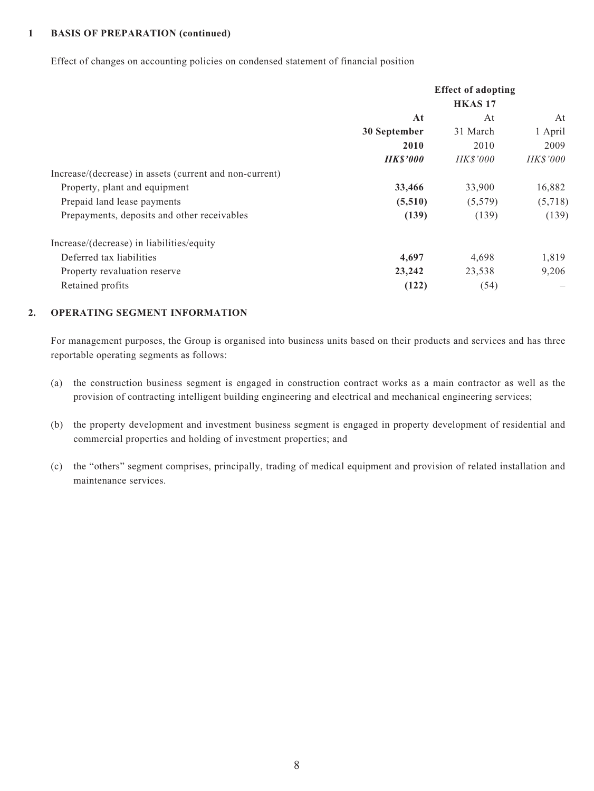#### **1 BASIS OF PREPARATION (continued)**

Effect of changes on accounting policies on condensed statement of financial position

|                                                         | <b>Effect of adopting</b> |                 |                 |
|---------------------------------------------------------|---------------------------|-----------------|-----------------|
|                                                         |                           | <b>HKAS17</b>   |                 |
|                                                         | At                        | At              | At              |
|                                                         | 30 September              | 31 March        | 1 April         |
|                                                         | 2010                      | 2010            | 2009            |
|                                                         | <b>HK\$'000</b>           | <b>HK\$'000</b> | <i>HK\$'000</i> |
| Increase/(decrease) in assets (current and non-current) |                           |                 |                 |
| Property, plant and equipment                           | 33,466                    | 33,900          | 16,882          |
| Prepaid land lease payments                             | (5,510)                   | (5,579)         | (5,718)         |
| Prepayments, deposits and other receivables             | (139)                     | (139)           | (139)           |
| Increase/(decrease) in liabilities/equity               |                           |                 |                 |
| Deferred tax liabilities                                | 4,697                     | 4,698           | 1,819           |
| Property revaluation reserve                            | 23,242                    | 23,538          | 9,206           |
| Retained profits                                        | (122)                     | (54)            |                 |

#### **2. OPERATING SEGMENT INFORMATION**

For management purposes, the Group is organised into business units based on their products and services and has three reportable operating segments as follows:

- (a) the construction business segment is engaged in construction contract works as a main contractor as well as the provision of contracting intelligent building engineering and electrical and mechanical engineering services;
- (b) the property development and investment business segment is engaged in property development of residential and commercial properties and holding of investment properties; and
- (c) the "others" segment comprises, principally, trading of medical equipment and provision of related installation and maintenance services.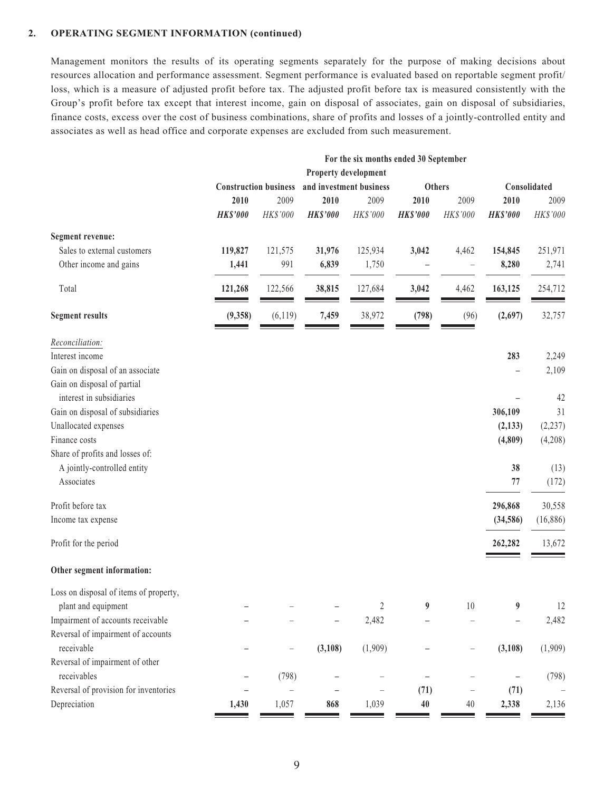#### **2. OPERATING SEGMENT INFORMATION (continued)**

Management monitors the results of its operating segments separately for the purpose of making decisions about resources allocation and performance assessment. Segment performance is evaluated based on reportable segment profit/ loss, which is a measure of adjusted profit before tax. The adjusted profit before tax is measured consistently with the Group's profit before tax except that interest income, gain on disposal of associates, gain on disposal of subsidiaries, finance costs, excess over the cost of business combinations, share of profits and losses of a jointly-controlled entity and associates as well as head office and corporate expenses are excluded from such measurement.

> и.  $\mathbb{R}^2$

|                                                  | For the six months ended 30 September<br>Property development |                                                                          |                 |          |                 |                   |                 |          |
|--------------------------------------------------|---------------------------------------------------------------|--------------------------------------------------------------------------|-----------------|----------|-----------------|-------------------|-----------------|----------|
|                                                  |                                                               | <b>Construction business</b><br>and investment business<br><b>Others</b> |                 |          | Consolidated    |                   |                 |          |
|                                                  | 2010                                                          | 2009                                                                     | 2010            | 2009     | 2010            | 2009              | 2010            | 2009     |
|                                                  | <b>HK\$'000</b>                                               | HK\$'000                                                                 | <b>HK\$'000</b> | HK\$'000 | <b>HK\$'000</b> | HK\$'000          | <b>HK\$'000</b> | HK\$'000 |
| <b>Segment revenue:</b>                          |                                                               |                                                                          |                 |          |                 |                   |                 |          |
| Sales to external customers                      | 119,827                                                       | 121,575                                                                  | 31,976          | 125,934  | 3,042           | 4,462             | 154,845         | 251,971  |
| Other income and gains                           | 1,441                                                         | 991                                                                      | 6,839           | 1,750    |                 |                   | 8,280           | 2,741    |
| Total                                            | 121,268                                                       | 122,566                                                                  | 38,815          | 127,684  | 3,042           | 4,462             | 163,125         | 254,712  |
| <b>Segment results</b>                           | (9, 358)                                                      | (6,119)                                                                  | 7,459           | 38,972   | (798)           | (96)              | (2,697)         | 32,757   |
| Reconciliation:                                  |                                                               |                                                                          |                 |          |                 |                   |                 |          |
| Interest income                                  |                                                               |                                                                          |                 |          |                 |                   | 283             | 2,249    |
| Gain on disposal of an associate                 |                                                               |                                                                          |                 |          |                 |                   |                 | 2,109    |
| Gain on disposal of partial                      |                                                               |                                                                          |                 |          |                 |                   |                 |          |
| interest in subsidiaries                         |                                                               |                                                                          |                 |          |                 |                   |                 | 42       |
| Gain on disposal of subsidiaries                 |                                                               |                                                                          |                 |          |                 |                   | 306,109         | 31       |
| Unallocated expenses                             |                                                               |                                                                          |                 |          |                 |                   | (2, 133)        | (2, 237) |
| Finance costs<br>Share of profits and losses of: |                                                               |                                                                          |                 |          |                 |                   | (4,809)         | (4,208)  |
| A jointly-controlled entity                      |                                                               |                                                                          |                 |          |                 |                   | 38              | (13)     |
| Associates                                       |                                                               |                                                                          |                 |          |                 |                   | 77              | (172)    |
|                                                  |                                                               |                                                                          |                 |          |                 |                   |                 |          |
| Profit before tax                                |                                                               |                                                                          |                 |          |                 |                   | 296,868         | 30,558   |
| Income tax expense                               |                                                               |                                                                          |                 |          |                 |                   | (34,586)        | (16,886) |
| Profit for the period                            |                                                               |                                                                          |                 |          |                 |                   | 262,282         | 13,672   |
| Other segment information:                       |                                                               |                                                                          |                 |          |                 |                   |                 |          |
| Loss on disposal of items of property,           |                                                               |                                                                          |                 |          |                 |                   |                 |          |
| plant and equipment                              |                                                               |                                                                          |                 | 2        | 9               | 10                | 9               | 12       |
| Impairment of accounts receivable                |                                                               |                                                                          | -               | 2,482    |                 |                   |                 | 2,482    |
| Reversal of impairment of accounts               |                                                               |                                                                          |                 |          |                 |                   |                 |          |
| receivable                                       |                                                               |                                                                          | (3,108)         | (1,909)  |                 |                   | (3,108)         | (1,909)  |
| Reversal of impairment of other                  |                                                               |                                                                          |                 |          |                 |                   |                 |          |
| receivables                                      |                                                               | (798)                                                                    |                 |          |                 |                   |                 | (798)    |
| Reversal of provision for inventories            |                                                               |                                                                          |                 |          | (71)            | $\qquad \qquad -$ | (71)            |          |
| Depreciation                                     | 1,430                                                         | 1,057                                                                    | 868             | 1,039    | 40              | 40                | 2,338           | 2,136    |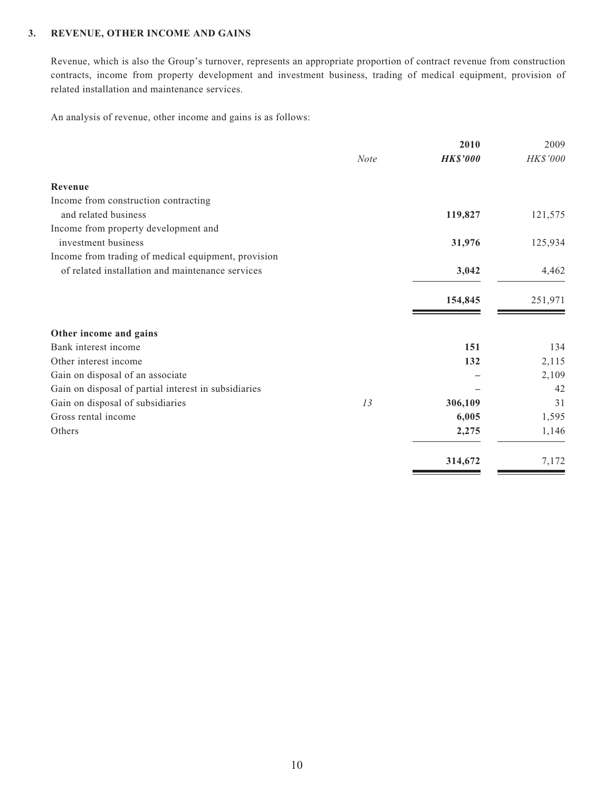#### **3. REVENUE, OTHER INCOME AND GAINS**

Revenue, which is also the Group's turnover, represents an appropriate proportion of contract revenue from construction contracts, income from property development and investment business, trading of medical equipment, provision of related installation and maintenance services.

An analysis of revenue, other income and gains is as follows:

|                                                      |             | 2010            | 2009     |
|------------------------------------------------------|-------------|-----------------|----------|
|                                                      | <b>Note</b> | <b>HK\$'000</b> | HK\$'000 |
| Revenue                                              |             |                 |          |
| Income from construction contracting                 |             |                 |          |
| and related business                                 |             | 119,827         | 121,575  |
| Income from property development and                 |             |                 |          |
| investment business                                  |             | 31,976          | 125,934  |
| Income from trading of medical equipment, provision  |             |                 |          |
| of related installation and maintenance services     |             | 3,042           | 4,462    |
|                                                      |             | 154,845         | 251,971  |
| Other income and gains                               |             |                 |          |
| Bank interest income                                 |             | 151             | 134      |
| Other interest income                                |             | 132             | 2,115    |
| Gain on disposal of an associate                     |             |                 | 2,109    |
| Gain on disposal of partial interest in subsidiaries |             |                 | 42       |
| Gain on disposal of subsidiaries                     | 13          | 306,109         | 31       |
| Gross rental income                                  |             | 6,005           | 1,595    |
| Others                                               |             | 2,275           | 1,146    |
|                                                      |             | 314,672         | 7,172    |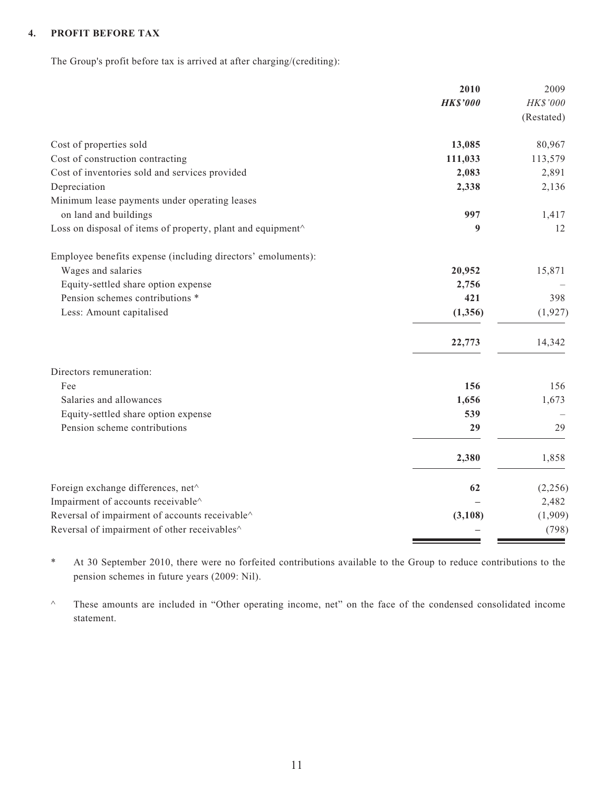#### **4. PROFIT BEFORE TAX**

The Group's profit before tax is arrived at after charging/(crediting):

|                                                                                                        | 2010            | 2009             |
|--------------------------------------------------------------------------------------------------------|-----------------|------------------|
|                                                                                                        | <b>HK\$'000</b> | HK\$'000         |
|                                                                                                        |                 | (Restated)       |
| Cost of properties sold                                                                                | 13,085          | 80,967           |
| Cost of construction contracting                                                                       | 111,033         | 113,579          |
| Cost of inventories sold and services provided                                                         | 2,083           | 2,891            |
| Depreciation                                                                                           | 2,338           | 2,136            |
| Minimum lease payments under operating leases                                                          |                 |                  |
| on land and buildings                                                                                  | 997             | 1,417            |
| Loss on disposal of items of property, plant and equipment^                                            | 9               | 12               |
| Employee benefits expense (including directors' emoluments):                                           |                 |                  |
| Wages and salaries                                                                                     | 20,952          | 15,871           |
| Equity-settled share option expense                                                                    | 2,756           |                  |
| Pension schemes contributions *                                                                        | 421             | 398              |
| Less: Amount capitalised                                                                               | (1, 356)        | (1, 927)         |
|                                                                                                        | 22,773          | 14,342           |
| Directors remuneration:                                                                                |                 |                  |
| Fee                                                                                                    | 156             | 156              |
| Salaries and allowances                                                                                | 1,656           | 1,673            |
| Equity-settled share option expense                                                                    | 539             |                  |
| Pension scheme contributions                                                                           | 29              | 29               |
|                                                                                                        | 2,380           | 1,858            |
| Foreign exchange differences, net^                                                                     | 62              | (2,256)          |
| Impairment of accounts receivable^                                                                     |                 | 2,482            |
| Reversal of impairment of accounts receivable $\wedge$<br>Reversal of impairment of other receivables^ | (3,108)         | (1,909)<br>(798) |
|                                                                                                        |                 |                  |

\* At 30 September 2010, there were no forfeited contributions available to the Group to reduce contributions to the pension schemes in future years (2009: Nil).

^ These amounts are included in "Other operating income, net" on the face of the condensed consolidated income statement.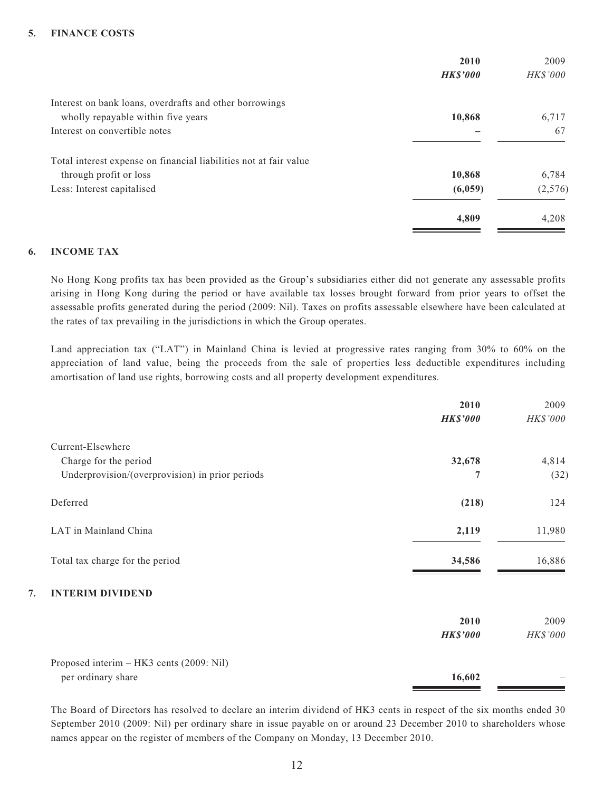#### **5. FINANCE COSTS**

|                                                                   | 2010<br><b>HK\$'000</b> | 2009<br><b>HK\$'000</b> |
|-------------------------------------------------------------------|-------------------------|-------------------------|
| Interest on bank loans, overdrafts and other borrowings           |                         |                         |
| wholly repayable within five years                                | 10,868                  | 6,717                   |
| Interest on convertible notes                                     |                         | 67                      |
| Total interest expense on financial liabilities not at fair value |                         |                         |
| through profit or loss                                            | 10,868                  | 6,784                   |
| Less: Interest capitalised                                        | (6,059)                 | (2,576)                 |
|                                                                   | 4,809                   | 4,208                   |

#### **6. INCOME TAX**

No Hong Kong profits tax has been provided as the Group's subsidiaries either did not generate any assessable profits arising in Hong Kong during the period or have available tax losses brought forward from prior years to offset the assessable profits generated during the period (2009: Nil). Taxes on profits assessable elsewhere have been calculated at the rates of tax prevailing in the jurisdictions in which the Group operates.

Land appreciation tax ("LAT") in Mainland China is levied at progressive rates ranging from 30% to 60% on the appreciation of land value, being the proceeds from the sale of properties less deductible expenditures including amortisation of land use rights, borrowing costs and all property development expenditures.

|                                                 | 2010            | 2009            |
|-------------------------------------------------|-----------------|-----------------|
|                                                 | <b>HK\$'000</b> | HK\$'000        |
| Current-Elsewhere                               |                 |                 |
| Charge for the period                           | 32,678          | 4,814           |
| Underprovision/(overprovision) in prior periods | 7               | (32)            |
| Deferred                                        | (218)           | 124             |
| LAT in Mainland China                           | 2,119           | 11,980          |
| Total tax charge for the period                 | 34,586          | 16,886          |
| <b>INTERIM DIVIDEND</b><br>7.                   |                 |                 |
|                                                 | 2010            | 2009            |
|                                                 | <b>HK\$'000</b> | <b>HK\$'000</b> |
| Proposed interim – HK3 cents (2009: Nil)        |                 |                 |
| per ordinary share                              | 16,602          |                 |

The Board of Directors has resolved to declare an interim dividend of HK3 cents in respect of the six months ended 30 September 2010 (2009: Nil) per ordinary share in issue payable on or around 23 December 2010 to shareholders whose names appear on the register of members of the Company on Monday, 13 December 2010.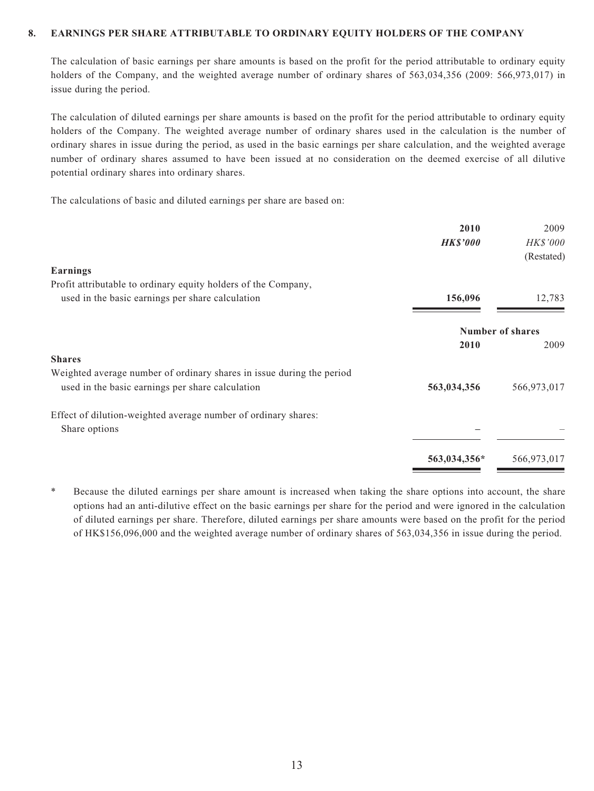#### **8. EARNINGS PER SHARE ATTRIBUTABLE TO ORDINARY EQUITY HOLDERS OF THE COMPANY**

The calculation of basic earnings per share amounts is based on the profit for the period attributable to ordinary equity holders of the Company, and the weighted average number of ordinary shares of 563,034,356 (2009: 566,973,017) in issue during the period.

The calculation of diluted earnings per share amounts is based on the profit for the period attributable to ordinary equity holders of the Company. The weighted average number of ordinary shares used in the calculation is the number of ordinary shares in issue during the period, as used in the basic earnings per share calculation, and the weighted average number of ordinary shares assumed to have been issued at no consideration on the deemed exercise of all dilutive potential ordinary shares into ordinary shares.

The calculations of basic and diluted earnings per share are based on:

| 2010<br><b>HK\$'000</b> | 2009<br>HK\$'000 |
|-------------------------|------------------|
|                         | (Restated)       |
|                         |                  |
| 156,096                 | 12,783           |
| <b>Number of shares</b> |                  |
| 2010                    | 2009             |
|                         |                  |
|                         |                  |
| 563,034,356             | 566,973,017      |
|                         |                  |
|                         |                  |
| 563,034,356*            | 566,973,017      |
|                         |                  |

Because the diluted earnings per share amount is increased when taking the share options into account, the share options had an anti-dilutive effect on the basic earnings per share for the period and were ignored in the calculation of diluted earnings per share. Therefore, diluted earnings per share amounts were based on the profit for the period of HK\$156,096,000 and the weighted average number of ordinary shares of 563,034,356 in issue during the period.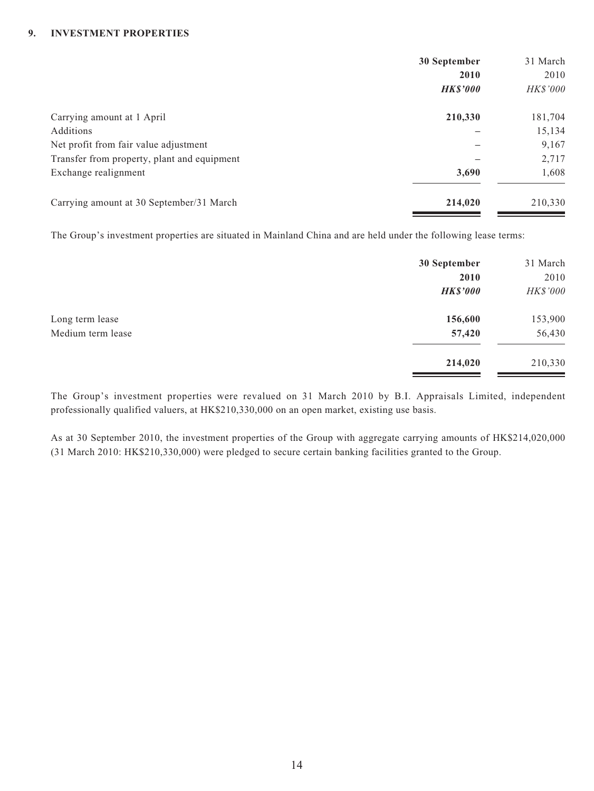#### **9. INVESTMENT PROPERTIES**

|                                             | 30 September    | 31 March |
|---------------------------------------------|-----------------|----------|
|                                             | 2010            | 2010     |
|                                             | <b>HK\$'000</b> | HK\$'000 |
| Carrying amount at 1 April                  | 210,330         | 181,704  |
| Additions                                   |                 | 15,134   |
| Net profit from fair value adjustment       |                 | 9,167    |
| Transfer from property, plant and equipment |                 | 2,717    |
| Exchange realignment                        | 3,690           | 1,608    |
| Carrying amount at 30 September/31 March    | 214,020         | 210,330  |

The Group's investment properties are situated in Mainland China and are held under the following lease terms:

|                   | 30 September    | 31 March |
|-------------------|-----------------|----------|
|                   | 2010            | 2010     |
|                   | <b>HK\$'000</b> | HK\$'000 |
| Long term lease   | 156,600         | 153,900  |
| Medium term lease | 57,420          | 56,430   |
|                   | 214,020         | 210,330  |

The Group's investment properties were revalued on 31 March 2010 by B.I. Appraisals Limited, independent professionally qualified valuers, at HK\$210,330,000 on an open market, existing use basis.

As at 30 September 2010, the investment properties of the Group with aggregate carrying amounts of HK\$214,020,000 (31 March 2010: HK\$210,330,000) were pledged to secure certain banking facilities granted to the Group.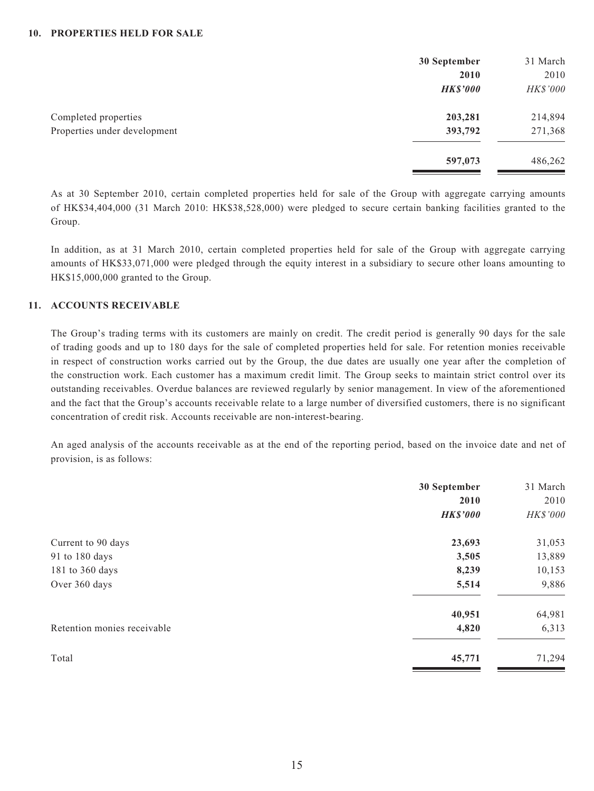|                              | 30 September    | 31 March |
|------------------------------|-----------------|----------|
|                              | 2010            | 2010     |
|                              | <b>HK\$'000</b> | HK\$'000 |
| Completed properties         | 203,281         | 214,894  |
| Properties under development | 393,792         | 271,368  |
|                              | 597,073         | 486,262  |

As at 30 September 2010, certain completed properties held for sale of the Group with aggregate carrying amounts of HK\$34,404,000 (31 March 2010: HK\$38,528,000) were pledged to secure certain banking facilities granted to the Group.

In addition, as at 31 March 2010, certain completed properties held for sale of the Group with aggregate carrying amounts of HK\$33,071,000 were pledged through the equity interest in a subsidiary to secure other loans amounting to HK\$15,000,000 granted to the Group.

#### **11. ACCOUNTS RECEIVABLE**

The Group's trading terms with its customers are mainly on credit. The credit period is generally 90 days for the sale of trading goods and up to 180 days for the sale of completed properties held for sale. For retention monies receivable in respect of construction works carried out by the Group, the due dates are usually one year after the completion of the construction work. Each customer has a maximum credit limit. The Group seeks to maintain strict control over its outstanding receivables. Overdue balances are reviewed regularly by senior management. In view of the aforementioned and the fact that the Group's accounts receivable relate to a large number of diversified customers, there is no significant concentration of credit risk. Accounts receivable are non-interest-bearing.

An aged analysis of the accounts receivable as at the end of the reporting period, based on the invoice date and net of provision, is as follows:

|                             | 30 September            | 31 March         |
|-----------------------------|-------------------------|------------------|
|                             | 2010<br><b>HK\$'000</b> | 2010<br>HK\$'000 |
| Current to 90 days          | 23,693                  | 31,053           |
| 91 to 180 days              | 3,505                   | 13,889           |
| 181 to 360 days             | 8,239                   | 10,153           |
| Over 360 days               | 5,514                   | 9,886            |
|                             | 40,951                  | 64,981           |
| Retention monies receivable | 4,820                   | 6,313            |
| Total                       | 45,771                  | 71,294           |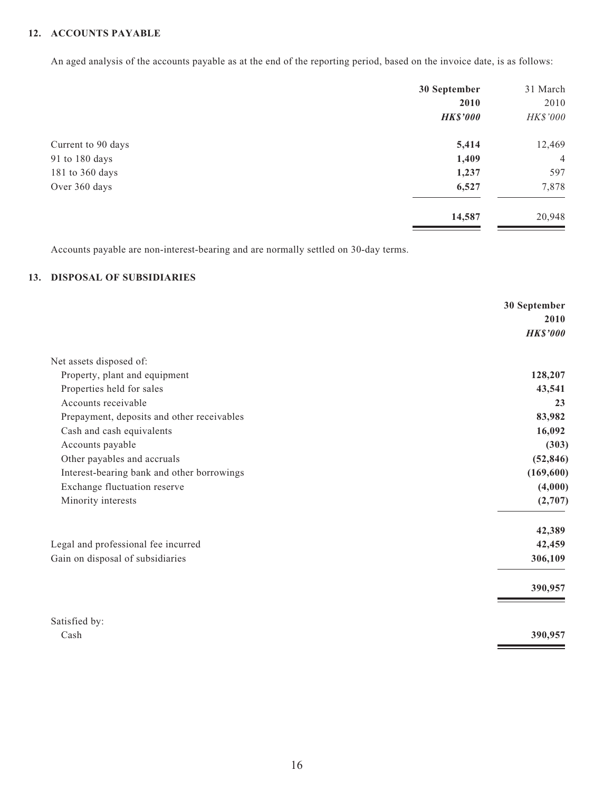#### **12. ACCOUNTS PAYABLE**

An aged analysis of the accounts payable as at the end of the reporting period, based on the invoice date, is as follows:

|                    | 30 September    | 31 March       |
|--------------------|-----------------|----------------|
|                    | 2010            | 2010           |
|                    | <b>HK\$'000</b> | HK\$'000       |
| Current to 90 days | 5,414           | 12,469         |
| 91 to 180 days     | 1,409           | $\overline{4}$ |
| 181 to 360 days    | 1,237           | 597            |
| Over 360 days      | 6,527           | 7,878          |
|                    | 14,587          | 20,948         |

Accounts payable are non-interest-bearing and are normally settled on 30-day terms.

#### **13. DISPOSAL OF SUBSIDIARIES**

|                                            | 30 September    |
|--------------------------------------------|-----------------|
|                                            | 2010            |
|                                            | <b>HK\$'000</b> |
| Net assets disposed of:                    |                 |
| Property, plant and equipment              | 128,207         |
| Properties held for sales                  | 43,541          |
| Accounts receivable                        | 23              |
| Prepayment, deposits and other receivables | 83,982          |
| Cash and cash equivalents                  | 16,092          |
| Accounts payable                           | (303)           |
| Other payables and accruals                | (52, 846)       |
| Interest-bearing bank and other borrowings | (169, 600)      |
| Exchange fluctuation reserve               | (4,000)         |
| Minority interests                         | (2,707)         |
|                                            | 42,389          |
| Legal and professional fee incurred        | 42,459          |
| Gain on disposal of subsidiaries           | 306,109         |
|                                            | 390,957         |
| Satisfied by:                              |                 |
| Cash                                       | 390,957         |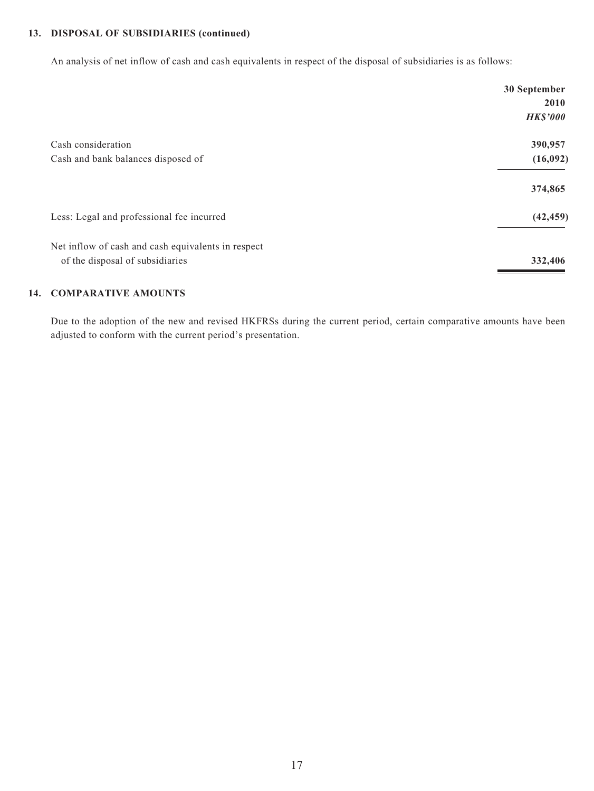#### **13. DISPOSAL OF SUBSIDIARIES (continued)**

An analysis of net inflow of cash and cash equivalents in respect of the disposal of subsidiaries is as follows:

|                                                                                       | 30 September    |
|---------------------------------------------------------------------------------------|-----------------|
|                                                                                       | 2010            |
|                                                                                       | <b>HK\$'000</b> |
| Cash consideration                                                                    | 390,957         |
| Cash and bank balances disposed of                                                    | (16,092)        |
|                                                                                       | 374,865         |
| Less: Legal and professional fee incurred                                             | (42, 459)       |
| Net inflow of cash and cash equivalents in respect<br>of the disposal of subsidiaries | 332,406         |

#### **14. COMPARATIVE AMOUNTS**

Due to the adoption of the new and revised HKFRSs during the current period, certain comparative amounts have been adjusted to conform with the current period's presentation.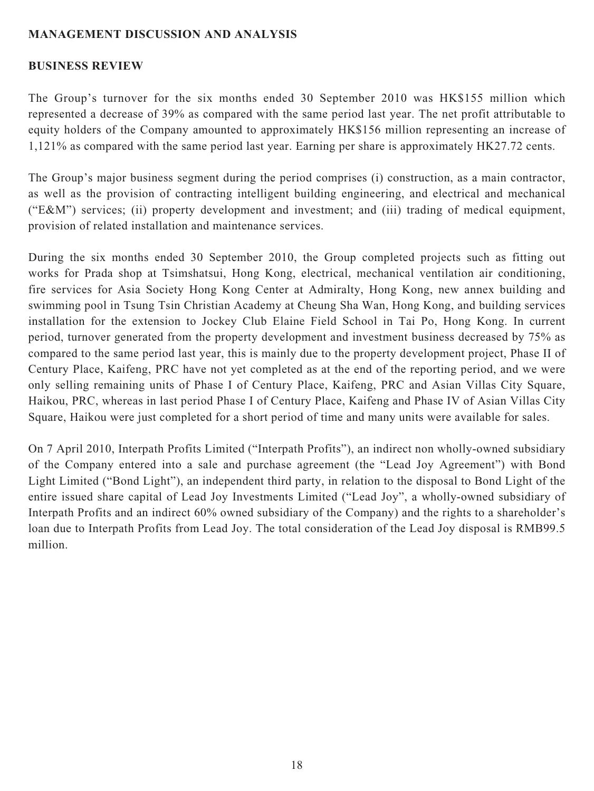## **MANAGEMENT DISCUSSION AND ANALYSIS**

#### **BUSINESS REVIEW**

The Group's turnover for the six months ended 30 September 2010 was HK\$155 million which represented a decrease of 39% as compared with the same period last year. The net profit attributable to equity holders of the Company amounted to approximately HK\$156 million representing an increase of 1,121% as compared with the same period last year. Earning per share is approximately HK27.72 cents.

The Group's major business segment during the period comprises (i) construction, as a main contractor, as well as the provision of contracting intelligent building engineering, and electrical and mechanical ("E&M") services; (ii) property development and investment; and (iii) trading of medical equipment, provision of related installation and maintenance services.

During the six months ended 30 September 2010, the Group completed projects such as fitting out works for Prada shop at Tsimshatsui, Hong Kong, electrical, mechanical ventilation air conditioning, fire services for Asia Society Hong Kong Center at Admiralty, Hong Kong, new annex building and swimming pool in Tsung Tsin Christian Academy at Cheung Sha Wan, Hong Kong, and building services installation for the extension to Jockey Club Elaine Field School in Tai Po, Hong Kong. In current period, turnover generated from the property development and investment business decreased by 75% as compared to the same period last year, this is mainly due to the property development project, Phase II of Century Place, Kaifeng, PRC have not yet completed as at the end of the reporting period, and we were only selling remaining units of Phase I of Century Place, Kaifeng, PRC and Asian Villas City Square, Haikou, PRC, whereas in last period Phase I of Century Place, Kaifeng and Phase IV of Asian Villas City Square, Haikou were just completed for a short period of time and many units were available for sales.

On 7 April 2010, Interpath Profits Limited ("Interpath Profits"), an indirect non wholly-owned subsidiary of the Company entered into a sale and purchase agreement (the "Lead Joy Agreement") with Bond Light Limited ("Bond Light"), an independent third party, in relation to the disposal to Bond Light of the entire issued share capital of Lead Joy Investments Limited ("Lead Joy", a wholly-owned subsidiary of Interpath Profits and an indirect 60% owned subsidiary of the Company) and the rights to a shareholder's loan due to Interpath Profits from Lead Joy. The total consideration of the Lead Joy disposal is RMB99.5 million.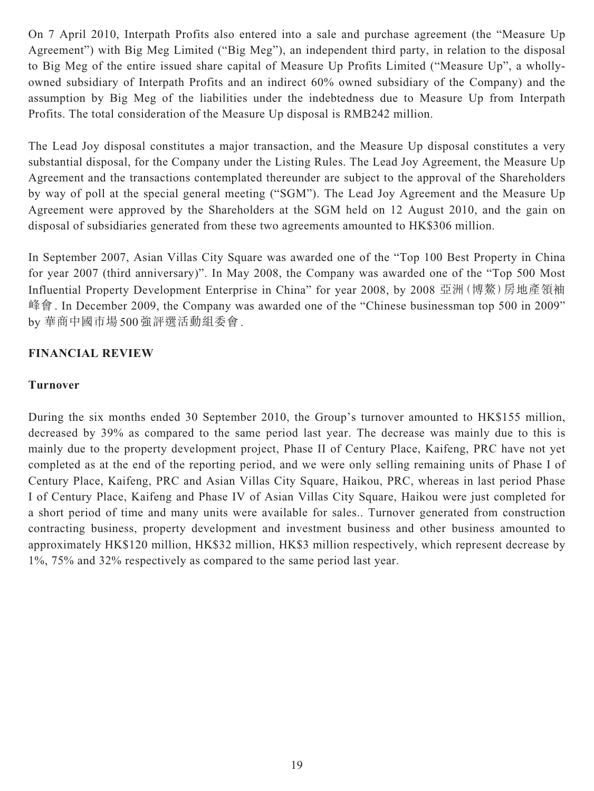On 7 April 2010, Interpath Profits also entered into a sale and purchase agreement (the "Measure Up Agreement") with Big Meg Limited ("Big Meg"), an independent third party, in relation to the disposal to Big Meg of the entire issued share capital of Measure Up Profits Limited ("Measure Up", a whollyowned subsidiary of Interpath Profits and an indirect 60% owned subsidiary of the Company) and the assumption by Big Meg of the liabilities under the indebtedness due to Measure Up from Interpath Profits. The total consideration of the Measure Up disposal is RMB242 million.

The Lead Joy disposal constitutes a major transaction, and the Measure Up disposal constitutes a very substantial disposal, for the Company under the Listing Rules. The Lead Joy Agreement, the Measure Up Agreement and the transactions contemplated thereunder are subject to the approval of the Shareholders by way of poll at the special general meeting ("SGM"). The Lead Joy Agreement and the Measure Up Agreement were approved by the Shareholders at the SGM held on 12 August 2010, and the gain on disposal of subsidiaries generated from these two agreements amounted to HK\$306 million.

In September 2007, Asian Villas City Square was awarded one of the "Top 100 Best Property in China for year 2007 (third anniversary)". In May 2008, the Company was awarded one of the "Top 500 Most Influential Property Development Enterprise in China" for year 2008, by 2008 亞洲(博鰲)房地產領袖 峰會. In December 2009, the Company was awarded one of the "Chinese businessman top 500 in 2009" by 華商中國市場500強評選活動組委會.

## **FINANCIAL REVIEW**

#### **Turnover**

During the six months ended 30 September 2010, the Group's turnover amounted to HK\$155 million, decreased by 39% as compared to the same period last year. The decrease was mainly due to this is mainly due to the property development project, Phase II of Century Place, Kaifeng, PRC have not yet completed as at the end of the reporting period, and we were only selling remaining units of Phase I of Century Place, Kaifeng, PRC and Asian Villas City Square, Haikou, PRC, whereas in last period Phase I of Century Place, Kaifeng and Phase IV of Asian Villas City Square, Haikou were just completed for a short period of time and many units were available for sales.. Turnover generated from construction contracting business, property development and investment business and other business amounted to approximately HK\$120 million, HK\$32 million, HK\$3 million respectively, which represent decrease by 1%, 75% and 32% respectively as compared to the same period last year.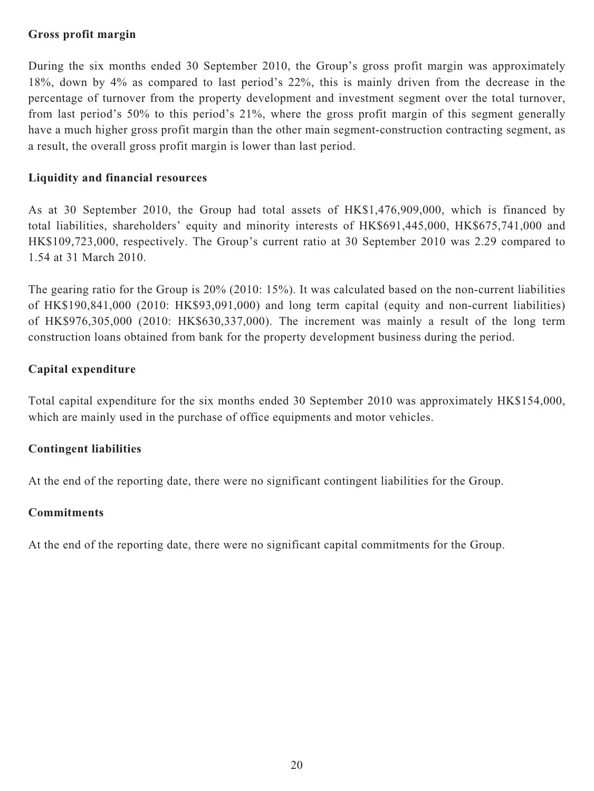## **Gross profit margin**

During the six months ended 30 September 2010, the Group's gross profit margin was approximately 18%, down by 4% as compared to last period's 22%, this is mainly driven from the decrease in the percentage of turnover from the property development and investment segment over the total turnover, from last period's 50% to this period's 21%, where the gross profit margin of this segment generally have a much higher gross profit margin than the other main segment-construction contracting segment, as a result, the overall gross profit margin is lower than last period.

## **Liquidity and financial resources**

As at 30 September 2010, the Group had total assets of HK\$1,476,909,000, which is financed by total liabilities, shareholders' equity and minority interests of HK\$691,445,000, HK\$675,741,000 and HK\$109,723,000, respectively. The Group's current ratio at 30 September 2010 was 2.29 compared to 1.54 at 31 March 2010.

The gearing ratio for the Group is 20% (2010: 15%). It was calculated based on the non-current liabilities of HK\$190,841,000 (2010: HK\$93,091,000) and long term capital (equity and non-current liabilities) of HK\$976,305,000 (2010: HK\$630,337,000). The increment was mainly a result of the long term construction loans obtained from bank for the property development business during the period.

## **Capital expenditure**

Total capital expenditure for the six months ended 30 September 2010 was approximately HK\$154,000, which are mainly used in the purchase of office equipments and motor vehicles.

## **Contingent liabilities**

At the end of the reporting date, there were no significant contingent liabilities for the Group.

#### **Commitments**

At the end of the reporting date, there were no significant capital commitments for the Group.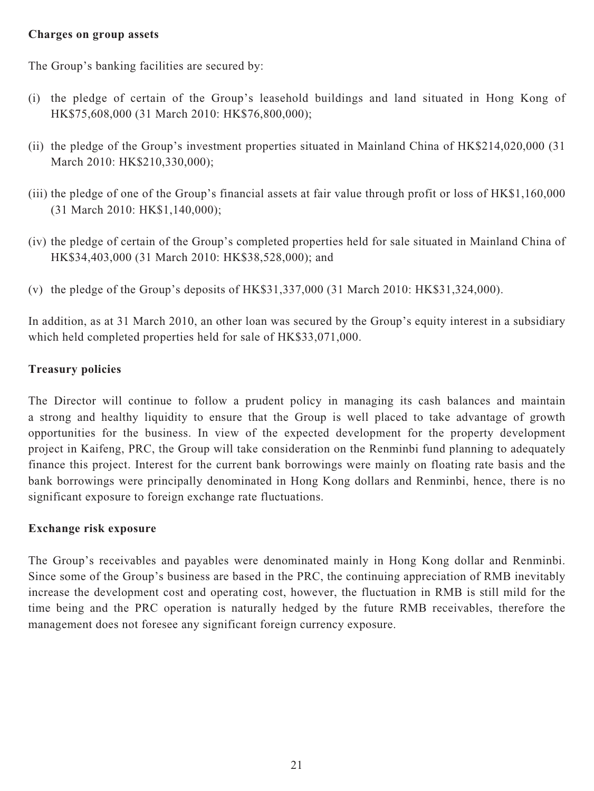#### **Charges on group assets**

The Group's banking facilities are secured by:

- (i) the pledge of certain of the Group's leasehold buildings and land situated in Hong Kong of HK\$75,608,000 (31 March 2010: HK\$76,800,000);
- (ii) the pledge of the Group's investment properties situated in Mainland China of HK\$214,020,000 (31 March 2010: HK\$210,330,000);
- (iii) the pledge of one of the Group's financial assets at fair value through profit or loss of HK\$1,160,000 (31 March 2010: HK\$1,140,000);
- (iv) the pledge of certain of the Group's completed properties held for sale situated in Mainland China of HK\$34,403,000 (31 March 2010: HK\$38,528,000); and
- (v) the pledge of the Group's deposits of HK\$31,337,000 (31 March 2010: HK\$31,324,000).

In addition, as at 31 March 2010, an other loan was secured by the Group's equity interest in a subsidiary which held completed properties held for sale of HK\$33,071,000.

## **Treasury policies**

The Director will continue to follow a prudent policy in managing its cash balances and maintain a strong and healthy liquidity to ensure that the Group is well placed to take advantage of growth opportunities for the business. In view of the expected development for the property development project in Kaifeng, PRC, the Group will take consideration on the Renminbi fund planning to adequately finance this project. Interest for the current bank borrowings were mainly on floating rate basis and the bank borrowings were principally denominated in Hong Kong dollars and Renminbi, hence, there is no significant exposure to foreign exchange rate fluctuations.

## **Exchange risk exposure**

The Group's receivables and payables were denominated mainly in Hong Kong dollar and Renminbi. Since some of the Group's business are based in the PRC, the continuing appreciation of RMB inevitably increase the development cost and operating cost, however, the fluctuation in RMB is still mild for the time being and the PRC operation is naturally hedged by the future RMB receivables, therefore the management does not foresee any significant foreign currency exposure.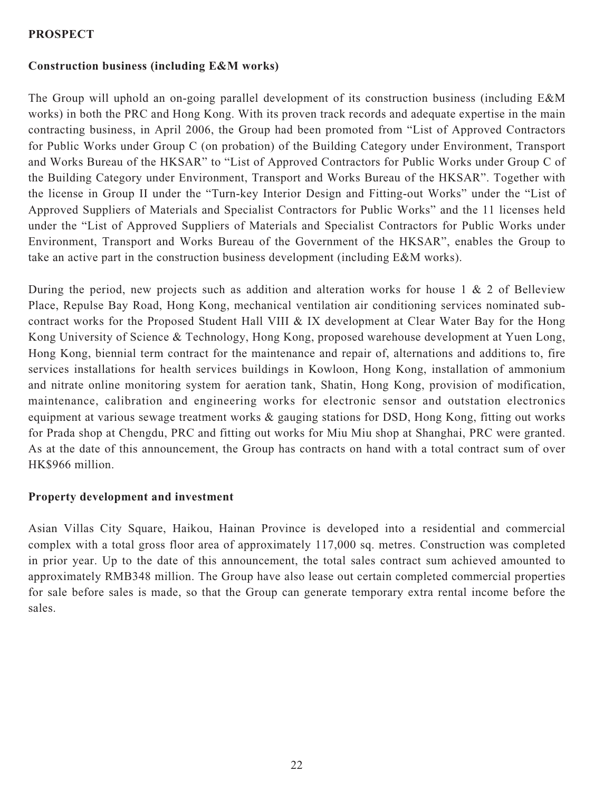## **PROSPECT**

## **Construction business (including E&M works)**

The Group will uphold an on-going parallel development of its construction business (including E&M works) in both the PRC and Hong Kong. With its proven track records and adequate expertise in the main contracting business, in April 2006, the Group had been promoted from "List of Approved Contractors for Public Works under Group C (on probation) of the Building Category under Environment, Transport and Works Bureau of the HKSAR" to "List of Approved Contractors for Public Works under Group C of the Building Category under Environment, Transport and Works Bureau of the HKSAR". Together with the license in Group II under the "Turn-key Interior Design and Fitting-out Works" under the "List of Approved Suppliers of Materials and Specialist Contractors for Public Works" and the 11 licenses held under the "List of Approved Suppliers of Materials and Specialist Contractors for Public Works under Environment, Transport and Works Bureau of the Government of the HKSAR", enables the Group to take an active part in the construction business development (including E&M works).

During the period, new projects such as addition and alteration works for house  $1 \& 2$  of Belleview Place, Repulse Bay Road, Hong Kong, mechanical ventilation air conditioning services nominated subcontract works for the Proposed Student Hall VIII & IX development at Clear Water Bay for the Hong Kong University of Science & Technology, Hong Kong, proposed warehouse development at Yuen Long, Hong Kong, biennial term contract for the maintenance and repair of, alternations and additions to, fire services installations for health services buildings in Kowloon, Hong Kong, installation of ammonium and nitrate online monitoring system for aeration tank, Shatin, Hong Kong, provision of modification, maintenance, calibration and engineering works for electronic sensor and outstation electronics equipment at various sewage treatment works & gauging stations for DSD, Hong Kong, fitting out works for Prada shop at Chengdu, PRC and fitting out works for Miu Miu shop at Shanghai, PRC were granted. As at the date of this announcement, the Group has contracts on hand with a total contract sum of over HK\$966 million.

## **Property development and investment**

Asian Villas City Square, Haikou, Hainan Province is developed into a residential and commercial complex with a total gross floor area of approximately 117,000 sq. metres. Construction was completed in prior year. Up to the date of this announcement, the total sales contract sum achieved amounted to approximately RMB348 million. The Group have also lease out certain completed commercial properties for sale before sales is made, so that the Group can generate temporary extra rental income before the sales.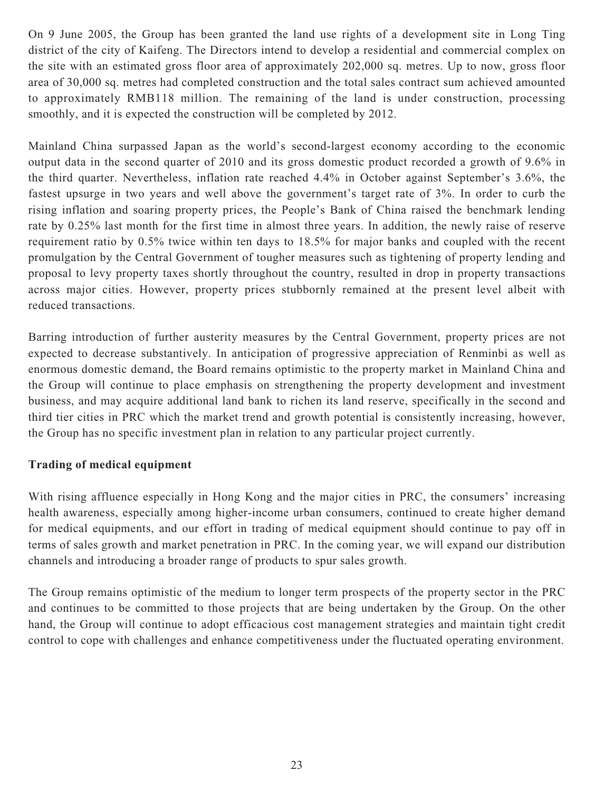On 9 June 2005, the Group has been granted the land use rights of a development site in Long Ting district of the city of Kaifeng. The Directors intend to develop a residential and commercial complex on the site with an estimated gross floor area of approximately 202,000 sq. metres. Up to now, gross floor area of 30,000 sq. metres had completed construction and the total sales contract sum achieved amounted to approximately RMB118 million. The remaining of the land is under construction, processing smoothly, and it is expected the construction will be completed by 2012.

Mainland China surpassed Japan as the world's second-largest economy according to the economic output data in the second quarter of 2010 and its gross domestic product recorded a growth of 9.6% in the third quarter. Nevertheless, inflation rate reached 4.4% in October against September's 3.6%, the fastest upsurge in two years and well above the government's target rate of 3%. In order to curb the rising inflation and soaring property prices, the People's Bank of China raised the benchmark lending rate by 0.25% last month for the first time in almost three years. In addition, the newly raise of reserve requirement ratio by 0.5% twice within ten days to 18.5% for major banks and coupled with the recent promulgation by the Central Government of tougher measures such as tightening of property lending and proposal to levy property taxes shortly throughout the country, resulted in drop in property transactions across major cities. However, property prices stubbornly remained at the present level albeit with reduced transactions.

Barring introduction of further austerity measures by the Central Government, property prices are not expected to decrease substantively. In anticipation of progressive appreciation of Renminbi as well as enormous domestic demand, the Board remains optimistic to the property market in Mainland China and the Group will continue to place emphasis on strengthening the property development and investment business, and may acquire additional land bank to richen its land reserve, specifically in the second and third tier cities in PRC which the market trend and growth potential is consistently increasing, however, the Group has no specific investment plan in relation to any particular project currently.

## **Trading of medical equipment**

With rising affluence especially in Hong Kong and the major cities in PRC, the consumers' increasing health awareness, especially among higher-income urban consumers, continued to create higher demand for medical equipments, and our effort in trading of medical equipment should continue to pay off in terms of sales growth and market penetration in PRC. In the coming year, we will expand our distribution channels and introducing a broader range of products to spur sales growth.

The Group remains optimistic of the medium to longer term prospects of the property sector in the PRC and continues to be committed to those projects that are being undertaken by the Group. On the other hand, the Group will continue to adopt efficacious cost management strategies and maintain tight credit control to cope with challenges and enhance competitiveness under the fluctuated operating environment.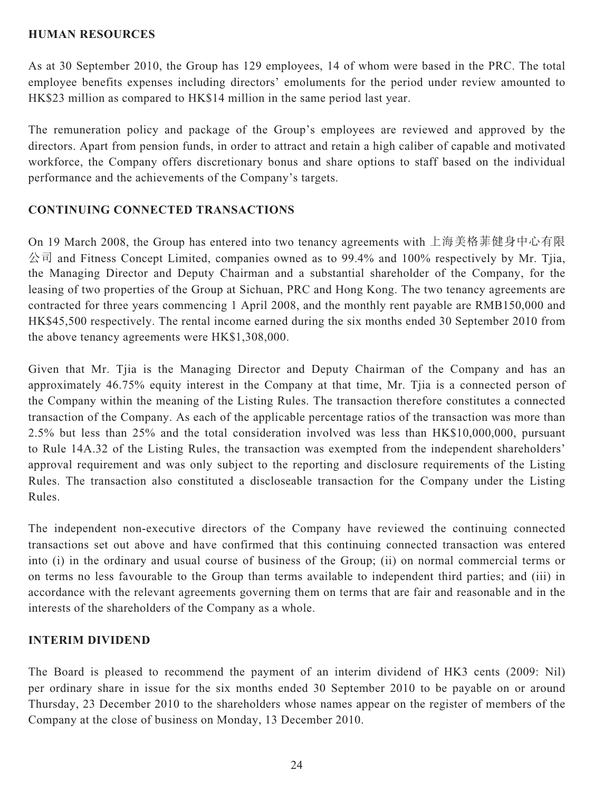#### **HUMAN RESOURCES**

As at 30 September 2010, the Group has 129 employees, 14 of whom were based in the PRC. The total employee benefits expenses including directors' emoluments for the period under review amounted to HK\$23 million as compared to HK\$14 million in the same period last year.

The remuneration policy and package of the Group's employees are reviewed and approved by the directors. Apart from pension funds, in order to attract and retain a high caliber of capable and motivated workforce, the Company offers discretionary bonus and share options to staff based on the individual performance and the achievements of the Company's targets.

## **CONTINUING CONNECTED TRANSACTIONS**

On 19 March 2008, the Group has entered into two tenancy agreements with 上海美格菲健身中心有限 公司 and Fitness Concept Limited, companies owned as to 99.4% and 100% respectively by Mr. Tjia, the Managing Director and Deputy Chairman and a substantial shareholder of the Company, for the leasing of two properties of the Group at Sichuan, PRC and Hong Kong. The two tenancy agreements are contracted for three years commencing 1 April 2008, and the monthly rent payable are RMB150,000 and HK\$45,500 respectively. The rental income earned during the six months ended 30 September 2010 from the above tenancy agreements were HK\$1,308,000.

Given that Mr. Tjia is the Managing Director and Deputy Chairman of the Company and has an approximately 46.75% equity interest in the Company at that time, Mr. Tjia is a connected person of the Company within the meaning of the Listing Rules. The transaction therefore constitutes a connected transaction of the Company. As each of the applicable percentage ratios of the transaction was more than 2.5% but less than 25% and the total consideration involved was less than HK\$10,000,000, pursuant to Rule 14A.32 of the Listing Rules, the transaction was exempted from the independent shareholders' approval requirement and was only subject to the reporting and disclosure requirements of the Listing Rules. The transaction also constituted a discloseable transaction for the Company under the Listing Rules.

The independent non-executive directors of the Company have reviewed the continuing connected transactions set out above and have confirmed that this continuing connected transaction was entered into (i) in the ordinary and usual course of business of the Group; (ii) on normal commercial terms or on terms no less favourable to the Group than terms available to independent third parties; and (iii) in accordance with the relevant agreements governing them on terms that are fair and reasonable and in the interests of the shareholders of the Company as a whole.

## **INTERIM DIVIDEND**

The Board is pleased to recommend the payment of an interim dividend of HK3 cents (2009: Nil) per ordinary share in issue for the six months ended 30 September 2010 to be payable on or around Thursday, 23 December 2010 to the shareholders whose names appear on the register of members of the Company at the close of business on Monday, 13 December 2010.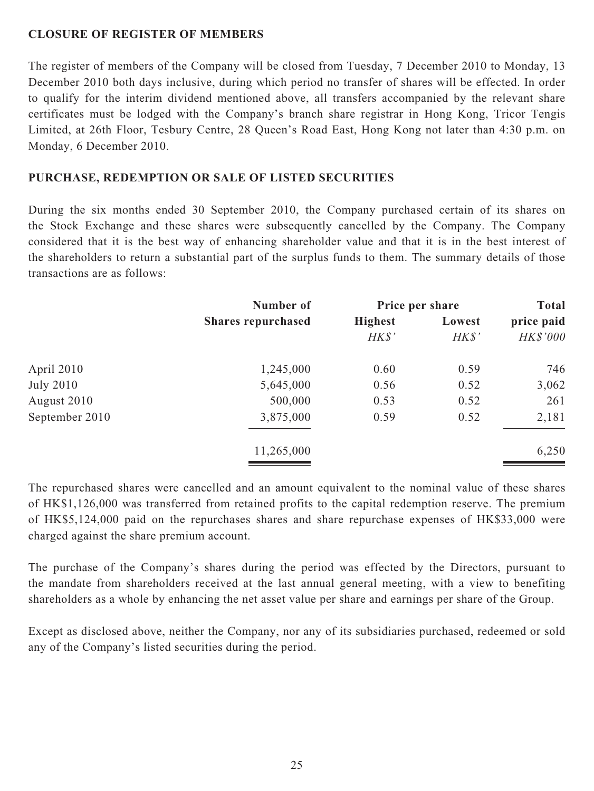## **CLOSURE OF REGISTER OF MEMBERS**

The register of members of the Company will be closed from Tuesday, 7 December 2010 to Monday, 13 December 2010 both days inclusive, during which period no transfer of shares will be effected. In order to qualify for the interim dividend mentioned above, all transfers accompanied by the relevant share certificates must be lodged with the Company's branch share registrar in Hong Kong, Tricor Tengis Limited, at 26th Floor, Tesbury Centre, 28 Queen's Road East, Hong Kong not later than 4:30 p.m. on Monday, 6 December 2010.

#### **PURCHASE, REDEMPTION OR SALE OF LISTED SECURITIES**

During the six months ended 30 September 2010, the Company purchased certain of its shares on the Stock Exchange and these shares were subsequently cancelled by the Company. The Company considered that it is the best way of enhancing shareholder value and that it is in the best interest of the shareholders to return a substantial part of the surplus funds to them. The summary details of those transactions are as follows:

|                  | Number of<br><b>Shares repurchased</b> | Price per share |        | <b>Total</b> |  |
|------------------|----------------------------------------|-----------------|--------|--------------|--|
|                  |                                        | <b>Highest</b>  | Lowest | price paid   |  |
|                  |                                        | H K S'          | H K S' | HK\$'000     |  |
| April 2010       | 1,245,000                              | 0.60            | 0.59   | 746          |  |
| <b>July 2010</b> | 5,645,000                              | 0.56            | 0.52   | 3,062        |  |
| August 2010      | 500,000                                | 0.53            | 0.52   | 261          |  |
| September 2010   | 3,875,000                              | 0.59            | 0.52   | 2,181        |  |
|                  | 11,265,000                             |                 |        | 6,250        |  |
|                  |                                        |                 |        |              |  |

The repurchased shares were cancelled and an amount equivalent to the nominal value of these shares of HK\$1,126,000 was transferred from retained profits to the capital redemption reserve. The premium of HK\$5,124,000 paid on the repurchases shares and share repurchase expenses of HK\$33,000 were charged against the share premium account.

The purchase of the Company's shares during the period was effected by the Directors, pursuant to the mandate from shareholders received at the last annual general meeting, with a view to benefiting shareholders as a whole by enhancing the net asset value per share and earnings per share of the Group.

Except as disclosed above, neither the Company, nor any of its subsidiaries purchased, redeemed or sold any of the Company's listed securities during the period.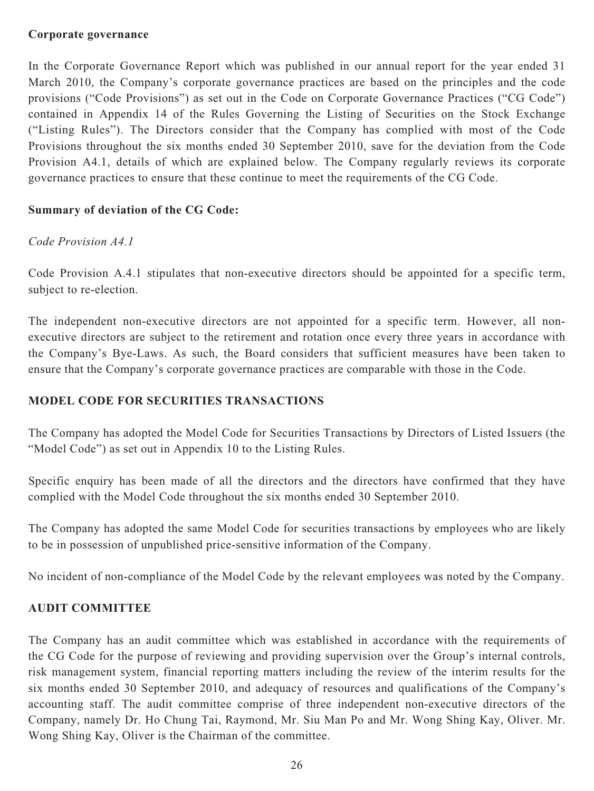#### **Corporate governance**

In the Corporate Governance Report which was published in our annual report for the year ended 31 March 2010, the Company's corporate governance practices are based on the principles and the code provisions ("Code Provisions") as set out in the Code on Corporate Governance Practices ("CG Code") contained in Appendix 14 of the Rules Governing the Listing of Securities on the Stock Exchange ("Listing Rules"). The Directors consider that the Company has complied with most of the Code Provisions throughout the six months ended 30 September 2010, save for the deviation from the Code Provision A4.1, details of which are explained below. The Company regularly reviews its corporate governance practices to ensure that these continue to meet the requirements of the CG Code.

## **Summary of deviation of the CG Code:**

## *Code Provision A4.1*

Code Provision A.4.1 stipulates that non-executive directors should be appointed for a specific term, subject to re-election.

The independent non-executive directors are not appointed for a specific term. However, all nonexecutive directors are subject to the retirement and rotation once every three years in accordance with the Company's Bye-Laws. As such, the Board considers that sufficient measures have been taken to ensure that the Company's corporate governance practices are comparable with those in the Code.

## **MODEL CODE FOR SECURITIES TRANSACTIONS**

The Company has adopted the Model Code for Securities Transactions by Directors of Listed Issuers (the "Model Code") as set out in Appendix 10 to the Listing Rules.

Specific enquiry has been made of all the directors and the directors have confirmed that they have complied with the Model Code throughout the six months ended 30 September 2010.

The Company has adopted the same Model Code for securities transactions by employees who are likely to be in possession of unpublished price-sensitive information of the Company.

No incident of non-compliance of the Model Code by the relevant employees was noted by the Company.

## **AUDIT COMMITTEE**

The Company has an audit committee which was established in accordance with the requirements of the CG Code for the purpose of reviewing and providing supervision over the Group's internal controls, risk management system, financial reporting matters including the review of the interim results for the six months ended 30 September 2010, and adequacy of resources and qualifications of the Company's accounting staff. The audit committee comprise of three independent non-executive directors of the Company, namely Dr. Ho Chung Tai, Raymond, Mr. Siu Man Po and Mr. Wong Shing Kay, Oliver. Mr. Wong Shing Kay, Oliver is the Chairman of the committee.